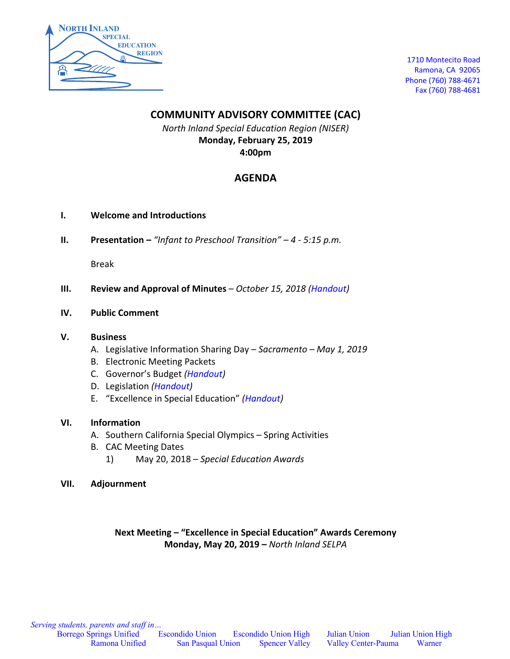

1710 Montecito Road Ramona, CA 92065 Phone (760) 788-4671 Fax (760) 788-4681

### **COMMUNITY ADVISORY COMMITTEE (CAC)**

*North Inland Special Education Region (NISER)* **Monday, February 25, 2019 4:00pm**

### **AGENDA**

- **I. Welcome and Introductions**
- **II. Presentation –** *"Infant to Preschool Transition" – 4 - 5:15 p.m.*

Break

- **III. Review and Approval of Minutes** *October 15, 2018 (Handout)*
- **IV. Public Comment**

### **V. Business**

- A. Legislative Information Sharing Day *Sacramento – May 1, 2019*
- B. Electronic Meeting Packets
- C. Governor's Budget *(Handout)*
- D. Legislation *(Handout)*
- E. "Excellence in Special Education" *(Handout)*

### **VI. Information**

- A. Southern California Special Olympics Spring Activities
- B. CAC Meeting Dates
	- 1) May 20, 2018 *Special Education Awards*
- **VII. Adjournment**

### **Next Meeting – "Excellence in Special Education" Awards Ceremony Monday, May 20, 2019 –** *North Inland SELPA*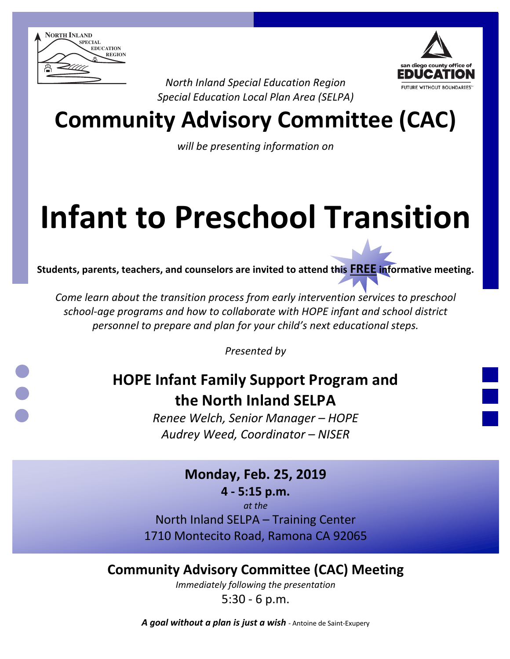



*North Inland Special Education Region Special Education Local Plan Area (SELPA)*

## **Community Advisory Committee (CAC)**

*will be presenting information on* 

# **Infant to Preschool Transition**

**Students, parents, teachers, and counselors are invited to attend this FREE informative meeting.**

*Come learn about the transition process from early intervention services to preschool school-age programs and how to collaborate with HOPE infant and school district personnel to prepare and plan for your child's next educational steps.*

*Presented by*

### **HOPE Infant Family Support Program and the North Inland SELPA**

*Renee Welch, Senior Manager – HOPE Audrey Weed, Coordinator – NISER*

> **Monday, Feb. 25, 2019 4 - 5:15 p.m.**

> > *at the*

North Inland SELPA – Training Center 1710 Montecito Road, Ramona CA 92065

**Community Advisory Committee (CAC) Meeting**

*Immediately following the presentation*

5:30 - 6 p.m.

*A goal without a plan is just a wish* - Antoine de Saint-Exupery